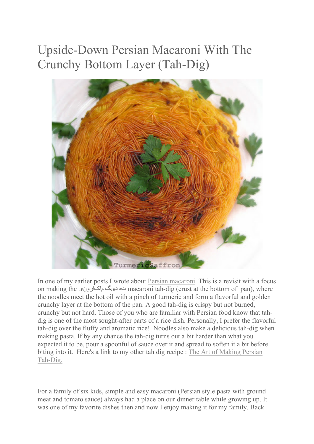## Upside-Down Persian Macaroni With The Crunchy Bottom Layer (Tah-Dig)



In one of my earlier posts I wrote about Persian macaroni. This is a revisit with a focus on making the ماکارونی دیگ ته macaroni tah-dig (crust at the bottom of pan), where the noodles meet the hot oil with a pinch of turmeric and form a flavorful and golden crunchy layer at the bottom of the pan. A good tah-dig is crispy but not burned, crunchy but not hard. Those of you who are familiar with Persian food know that tahdig is one of the most sought-after parts of a rice dish. Personally, I prefer the flavorful tah-dig over the fluffy and aromatic rice! Noodles also make a delicious tah-dig when making pasta. If by any chance the tah-dig turns out a bit harder than what you expected it to be, pour a spoonful of sauce over it and spread to soften it a bit before biting into it. Here's a link to my other tah dig recipe : The Art of Making Persian Tah-Dig.

For a family of six kids, simple and easy macaroni (Persian style pasta with ground meat and tomato sauce) always had a place on our dinner table while growing up. It was one of my favorite dishes then and now I enjoy making it for my family. Back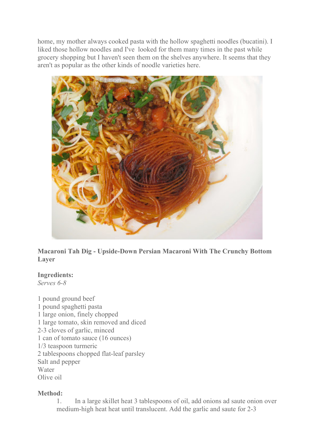home, my mother always cooked pasta with the hollow spaghetti noodles (bucatini). I liked those hollow noodles and I've looked for them many times in the past while grocery shopping but I haven't seen them on the shelves anywhere. It seems that they aren't as popular as the other kinds of noodle varieties here.



**Macaroni Tah Dig - Upside-Down Persian Macaroni With The Crunchy Bottom Layer**

## **Ingredients:**

*Serves 6-8*

1 pound ground beef 1 pound spaghetti pasta 1 large onion, finely chopped 1 large tomato, skin removed and diced 2-3 cloves of garlic, minced 1 can of tomato sauce (16 ounces) 1/3 teaspoon turmeric 2 tablespoons chopped flat-leaf parsley Salt and pepper Water Olive oil

## **Method:**

1. In a large skillet heat 3 tablespoons of oil, add onions ad saute onion over medium-high heat heat until translucent. Add the garlic and saute for 2-3